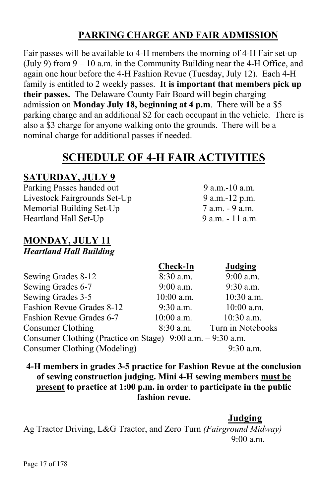# **PARKING CHARGE AND FAIR ADMISSION**

Fair passes will be available to 4-H members the morning of 4-H Fair set-up (July 9) from  $9 - 10$  a.m. in the Community Building near the 4-H Office, and again one hour before the 4-H Fashion Revue (Tuesday, July 12). Each 4-H family is entitled to 2 weekly passes. **It is important that members pick up their passes.** The Delaware County Fair Board will begin charging admission on **Monday July 18, beginning at 4 p.m**. There will be a \$5 parking charge and an additional \$2 for each occupant in the vehicle. There is also a \$3 charge for anyone walking onto the grounds. There will be a nominal charge for additional passes if needed.

# **SCHEDULE OF 4-H FAIR ACTIVITIES**

### **SATURDAY, JULY 9**

Parking Passes handed out 9 a.m.-10 a.m. Livestock Fairgrounds Set-Up 9 a.m.-12 p.m. Memorial Building Set-Up 7 a.m. - 9 a.m. Heartland Hall Set-Up 9 a.m. - 11 a.m.

# **MONDAY, JULY 11**

*Heartland Hall Building*

|                                                             | Check-In     | Judging           |
|-------------------------------------------------------------|--------------|-------------------|
| Sewing Grades 8-12                                          | $8:30$ a.m.  | $9:00$ a.m.       |
| Sewing Grades 6-7                                           | $9:00$ a.m.  | 9:30 a.m.         |
| Sewing Grades 3-5                                           | $10:00$ a.m. | 10:30 a.m.        |
| Fashion Revue Grades 8-12                                   | $9:30$ a.m.  | $10:00$ a.m.      |
| Fashion Revue Grades 6-7                                    | $10:00$ a.m. | $10:30$ a.m.      |
| Consumer Clothing                                           | $8:30$ a.m.  | Turn in Notebooks |
| Consumer Clothing (Practice on Stage) 9:00 a.m. - 9:30 a.m. |              |                   |
| Consumer Clothing (Modeling)                                |              | $9:30$ a.m.       |

**4-H members in grades 3-5 practice for Fashion Revue at the conclusion of sewing construction judging. Mini 4-H sewing members must be present to practice at 1:00 p.m. in order to participate in the public fashion revue.** 

**Judging**

Ag Tractor Driving, L&G Tractor, and Zero Turn *(Fairground Midway)* 9:00 a.m.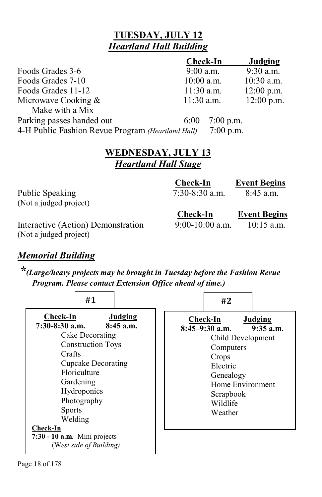# **TUESDAY, JULY 12** *Heartland Hall Building*

|                                                   | <b>Check-In</b>    | Judging      |
|---------------------------------------------------|--------------------|--------------|
| Foods Grades 3-6                                  | $9:00$ a.m.        | 9:30 a.m.    |
| Foods Grades 7-10                                 | $10:00$ a.m.       | $10:30$ a.m. |
| Foods Grades 11-12                                | $11:30$ a.m.       | $12:00$ p.m. |
| Microwave Cooking &                               | $11:30$ a.m.       | $12:00$ p.m. |
| Make with a Mix                                   |                    |              |
| Parking passes handed out                         | $6:00 - 7:00$ p.m. |              |
| 4-H Public Fashion Revue Program (Heartland Hall) | $7:00$ p.m.        |              |

# **WEDNESDAY, JULY 13**  *Heartland Hall Stage*

|                                                              | <b>Check-In</b>   | <b>Event Begins</b> |
|--------------------------------------------------------------|-------------------|---------------------|
| Public Speaking                                              | $7:30-8:30$ a.m.  | $8:45$ a.m.         |
| (Not a judged project)                                       |                   |                     |
|                                                              | <b>Check-In</b>   | <b>Event Begins</b> |
| Interactive (Action) Demonstration<br>(Not a judged project) | $9:00-10:00$ a.m. | $10:15$ a.m.        |

### *Memorial Building*

*\*(Large/heavy projects may be brought in Tuesday before the Fashion Revue Program. Please contact Extension Office ahead of time.)* 

|                                                                                                                  | #1                                                                                                                                                      |                        | #2                                                                                                                                                              |                        |
|------------------------------------------------------------------------------------------------------------------|---------------------------------------------------------------------------------------------------------------------------------------------------------|------------------------|-----------------------------------------------------------------------------------------------------------------------------------------------------------------|------------------------|
| Check-In<br>$7:30-8:30$ a.m.<br>Crafts<br><b>Sports</b><br>Welding<br>Check-In<br>$7:30 - 10$ a.m. Mini projects | Cake Decorating<br><b>Construction Toys</b><br>Cupcake Decorating<br>Floriculture<br>Gardening<br>Hydroponics<br>Photography<br>(West side of Building) | Judging<br>$8:45$ a.m. | <b>Check-In</b><br>$8:45-9:30$ a.m.<br>Child Development<br>Computers<br>Crops<br>Electric<br>Genealogy<br>Home Environment<br>Scrapbook<br>Wildlife<br>Weather | Judging<br>$9:35$ a.m. |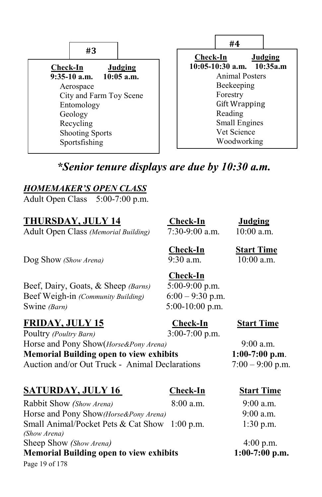| #3                          | #4<br>Check-In<br>Judging      |  |
|-----------------------------|--------------------------------|--|
| Check-In<br>Judging         | $10:05-10:30$ a.m. $10:35$ a.m |  |
| $9:35-10$ a.m. $10:05$ a.m. | Animal Posters                 |  |
| Aerospace                   | Beekeeping                     |  |
| City and Farm Toy Scene     | Forestry                       |  |
| Entomology                  | <b>Gift Wrapping</b>           |  |
| Geology                     | Reading                        |  |
| Recycling                   | <b>Small Engines</b>           |  |
| <b>Shooting Sports</b>      | Vet Science                    |  |
| Sportsfishing               | Woodworking                    |  |

# *\*Senior tenure displays are due by 10:30 a.m.*

### *HOMEMAKER'S OPEN CLASS*

Adult Open Class5:00-7:00 p.m.

# **THURSDAY, JULY 14 Check-In Judging**

Adult Open Class *(Memorial Building)* 7:30-9:00 a.m. 10:00 a.m.

Dog Show *(Show Arena)* 9:30 a.m.

Beef, Dairy, Goats, & Sheep *(Barns)* 5:00-9:00 p.m. Beef Weigh-in *(Community Building)* 6:00 – 9:30 p.m. Swine *(Barn)* 5:00-10:00 p.m.

# **FRIDAY, JULY 15 Check-In Start Time**

Poultry *(Poultry Barn)* 3:00-7:00 p.m. Horse and Pony Show(*Horse&Pony Arena)* 9:00 a.m. **Memorial Building open to view exhibits 1:00-7:00 p.m**. Auction and/or Out Truck - Animal Declarations  $7:00 - 9:00$  p.m.

# **SATURDAY, JULY 16 Check-In Start Time**

Page 19 of 178 Rabbit Show *(Show Arena)* 8:00 a.m. 9:00 a.m. Horse and Pony Show*(Horse&Pony Arena)* 9:00 a.m. Small Animal/Pocket Pets & Cat Show 1:00 p.m. 1:30 p.m. *(Show Arena)* Sheep Show *(Show Arena)* 4:00 p.m. **Memorial Building open to view exhibits 1:00-7:00 p.m.** 

**Check-In Start Time**<br>9:30 a.m. 10:00 a.m.

**Check-In**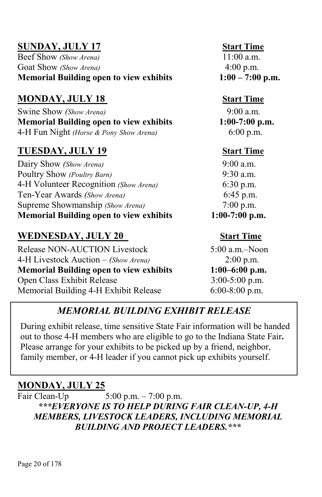**SUNDAY, JULY 17**<br>
Beef Show (Show Arena)<br>  $11:00a \text{ m}$ Beef Show *(Show Arena)* Goat Show *(Show Arena)* 4:00 p.m. **Memorial Building open to view exhibits 1:00 – 7:00 p.m.**

# **MONDAY, JULY 18** Start Time

Swine Show *(Show Arena)* 9:00 a.m. **Memorial Building open to view exhibits 1:00-7:00 p.m.**  4-H Fun Night *(Horse & Pony Show Arena)* 6:00 p.m.

# **TUESDAY, JULY 19 Start Time**

Dairy Show *(Show Arena)* 9:00 a.m. Poultry Show *(Poultry Barn)* 9:30 a.m. 4-H Volunteer Recognition *(Show Arena)* 6:30 p.m. Ten-Year Awards *(Show Arena)* 6:45 p.m. Supreme Showmanship *(Show Arena)* 7:00 p.m. **Memorial Building open to view exhibits 1:00-7:00 p.m.** 

**WEDNESDAY, JULY 20** Start Time<br>Release NON-AUCTION Livestock 5:00 a.m.–Noon Release NON-AUCTION Livestock 4-H Livestock Auction – *(Show Arena)* 2:00 p.m. **Memorial Building open to view exhibits 1:00–6:00 p.m.**  Open Class Exhibit Release 3:00-5:00 p.m. Memorial Building 4-H Exhibit Release 6:00-8:00 p.m.

# *MEMORIAL BUILDING EXHIBIT RELEASE*

During exhibit release, time sensitive State Fair information will be handed out to those 4-H members who are eligible to go to the Indiana State Fair**.** Please arrange for your exhibits to be picked up by a friend, neighbor, family member, or 4-H leader if you cannot pick up exhibits yourself.

# **MONDAY, JULY 25**

Fair Clean-Up5:00 p.m. – 7:00 p.m. *\*\*\*EVERYONE IS TO HELP DURING FAIR CLEAN-UP, 4-H MEMBERS, LIVESTOCK LEADERS, INCLUDING MEMORIAL BUILDING AND PROJECT LEADERS.\*\*\**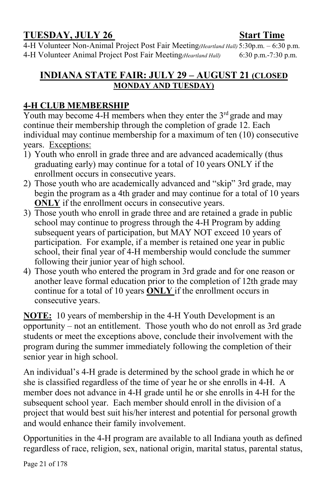# **TUESDAY, JULY 26** Start Time

4-H Volunteer Non-Animal Project Post Fair Meeting*(Heartland Hall)* 5:30p.m. – 6:30 p.m. 4-H Volunteer Animal Project Post Fair Meeting*(Heartland Hall)* 6:30 p.m.-7:30 p.m.

### **INDIANA STATE FAIR: JULY 29 – AUGUST 21 (CLOSED MONDAY AND TUESDAY)**

### **4-H CLUB MEMBERSHIP**

Youth may become 4-H members when they enter the  $3<sup>rd</sup>$  grade and may continue their membership through the completion of grade 12. Each individual may continue membership for a maximum of ten (10) consecutive years. Exceptions:

- 1) Youth who enroll in grade three and are advanced academically (thus graduating early) may continue for a total of 10 years ONLY if the enrollment occurs in consecutive years.
- 2) Those youth who are academically advanced and "skip" 3rd grade, may begin the program as a 4th grader and may continue for a total of 10 years **ONLY** if the enrollment occurs in consecutive years.
- 3) Those youth who enroll in grade three and are retained a grade in public school may continue to progress through the 4-H Program by adding subsequent years of participation, but MAY NOT exceed 10 years of participation. For example, if a member is retained one year in public school, their final year of 4-H membership would conclude the summer following their junior year of high school.
- 4) Those youth who entered the program in 3rd grade and for one reason or another leave formal education prior to the completion of 12th grade may continue for a total of 10 years **ONLY** if the enrollment occurs in consecutive years.

**NOTE:** 10 years of membership in the 4-H Youth Development is an opportunity – not an entitlement. Those youth who do not enroll as 3rd grade students or meet the exceptions above, conclude their involvement with the program during the summer immediately following the completion of their senior year in high school.

An individual's 4-H grade is determined by the school grade in which he or she is classified regardless of the time of year he or she enrolls in 4-H. A member does not advance in 4-H grade until he or she enrolls in 4-H for the subsequent school year. Each member should enroll in the division of a project that would best suit his/her interest and potential for personal growth and would enhance their family involvement.

Opportunities in the 4-H program are available to all Indiana youth as defined regardless of race, religion, sex, national origin, marital status, parental status,

Page 21 of 178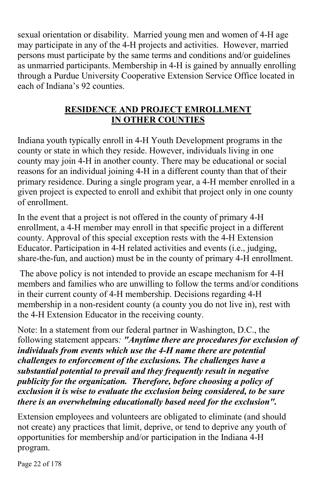sexual orientation or disability. Married young men and women of 4-H age may participate in any of the 4-H projects and activities. However, married persons must participate by the same terms and conditions and/or guidelines as unmarried participants. Membership in 4-H is gained by annually enrolling through a Purdue University Cooperative Extension Service Office located in each of Indiana's 92 counties.

### **RESIDENCE AND PROJECT EMROLLMENT IN OTHER COUNTIES**

Indiana youth typically enroll in 4-H Youth Development programs in the county or state in which they reside. However, individuals living in one county may join 4-H in another county. There may be educational or social reasons for an individual joining 4-H in a different county than that of their primary residence. During a single program year, a 4-H member enrolled in a given project is expected to enroll and exhibit that project only in one county of enrollment.

In the event that a project is not offered in the county of primary 4-H enrollment, a 4-H member may enroll in that specific project in a different county. Approval of this special exception rests with the 4-H Extension Educator. Participation in 4-H related activities and events (i.e., judging, share-the-fun, and auction) must be in the county of primary 4-H enrollment.

The above policy is not intended to provide an escape mechanism for 4-H members and families who are unwilling to follow the terms and/or conditions in their current county of 4-H membership. Decisions regarding 4-H membership in a non-resident county (a county you do not live in), rest with the 4-H Extension Educator in the receiving county.

Note: In a statement from our federal partner in Washington, D.C., the following statement appears*: "Anytime there are procedures for exclusion of individuals from events which use the 4-H name there are potential challenges to enforcement of the exclusions. The challenges have a substantial potential to prevail and they frequently result in negative publicity for the organization. Therefore, before choosing a policy of exclusion it is wise to evaluate the exclusion being considered, to be sure there is an overwhelming educationally based need for the exclusion".* 

Extension employees and volunteers are obligated to eliminate (and should not create) any practices that limit, deprive, or tend to deprive any youth of opportunities for membership and/or participation in the Indiana 4-H program.

Page 22 of 178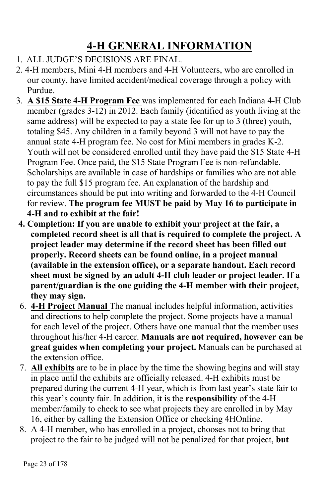# **4-H GENERAL INFORMATION**

- 1. ALL JUDGE'S DECISIONS ARE FINAL.
- 2. 4-H members, Mini 4-H members and 4-H Volunteers, who are enrolled in our county, have limited accident/medical coverage through a policy with Purdue.
- 3. **A \$15 State 4-H Program Fee** was implemented for each Indiana 4-H Club member (grades 3-12) in 2012. Each family (identified as youth living at the same address) will be expected to pay a state fee for up to 3 (three) youth, totaling \$45. Any children in a family beyond 3 will not have to pay the annual state 4-H program fee. No cost for Mini members in grades K-2. Youth will not be considered enrolled until they have paid the \$15 State 4-H Program Fee. Once paid, the \$15 State Program Fee is non-refundable. Scholarships are available in case of hardships or families who are not able to pay the full \$15 program fee. An explanation of the hardship and circumstances should be put into writing and forwarded to the 4-H Council for review. **The program fee MUST be paid by May 16 to participate in 4-H and to exhibit at the fair!**
- **4. Completion: If you are unable to exhibit your project at the fair, a completed record sheet is all that is required to complete the project. A project leader may determine if the record sheet has been filled out properly. Record sheets can be found online, in a project manual (available in the extension office), or a separate handout. Each record sheet must be signed by an adult 4-H club leader or project leader. If a parent/guardian is the one guiding the 4-H member with their project, they may sign.**
- 6. **4-H Project Manual** The manual includes helpful information, activities and directions to help complete the project. Some projects have a manual for each level of the project. Others have one manual that the member uses throughout his/her 4-H career. **Manuals are not required, however can be great guides when completing your project.** Manuals can be purchased at the extension office.
- 7. **All exhibits** are to be in place by the time the showing begins and will stay in place until the exhibits are officially released. 4-H exhibits must be prepared during the current 4-H year, which is from last year's state fair to this year's county fair. In addition, it is the **responsibility** of the 4-H member/family to check to see what projects they are enrolled in by May 16, either by calling the Extension Office or checking 4HOnline.
- 8. A 4-H member, who has enrolled in a project, chooses not to bring that project to the fair to be judged will not be penalized for that project, **but**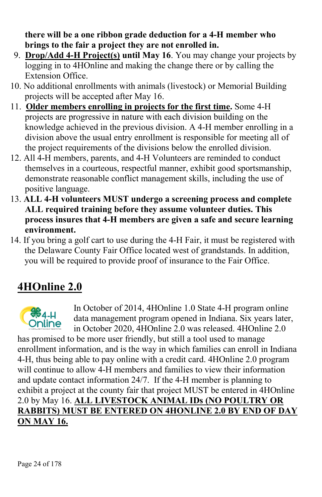**there will be a one ribbon grade deduction for a 4-H member who brings to the fair a project they are not enrolled in.** 

- 9. **Drop/Add 4-H Project(s) until May 16**. You may change your projects by logging in to 4HOnline and making the change there or by calling the Extension Office.
- 10. No additional enrollments with animals (livestock) or Memorial Building projects will be accepted after May 16.
- 11. **Older members enrolling in projects for the first time.** Some 4-H projects are progressive in nature with each division building on the knowledge achieved in the previous division. A 4-H member enrolling in a division above the usual entry enrollment is responsible for meeting all of the project requirements of the divisions below the enrolled division.
- 12. All 4-H members, parents, and 4-H Volunteers are reminded to conduct themselves in a courteous, respectful manner, exhibit good sportsmanship, demonstrate reasonable conflict management skills, including the use of positive language.
- 13. **ALL 4-H volunteers MUST undergo a screening process and complete ALL required training before they assume volunteer duties. This process insures that 4-H members are given a safe and secure learning environment.**
- 14. If you bring a golf cart to use during the 4-H Fair, it must be registered with the Delaware County Fair Office located west of grandstands. In addition, you will be required to provide proof of insurance to the Fair Office.

# **4HOnline 2.0**



In October of 2014, 4HOnline 1.0 State 4-H program online data management program opened in Indiana. Six years later, in October 2020, 4HOnline 2.0 was released. 4HOnline 2.0

has promised to be more user friendly, but still a tool used to manage enrollment information, and is the way in which families can enroll in Indiana 4-H, thus being able to pay online with a credit card. 4HOnline 2.0 program will continue to allow 4-H members and families to view their information and update contact information 24/7. If the 4-H member is planning to exhibit a project at the county fair that project MUST be entered in 4HOnline 2.0 by May 16. **ALL LIVESTOCK ANIMAL IDs (NO POULTRY OR RABBITS) MUST BE ENTERED ON 4HONLINE 2.0 BY END OF DAY ON MAY 16.**